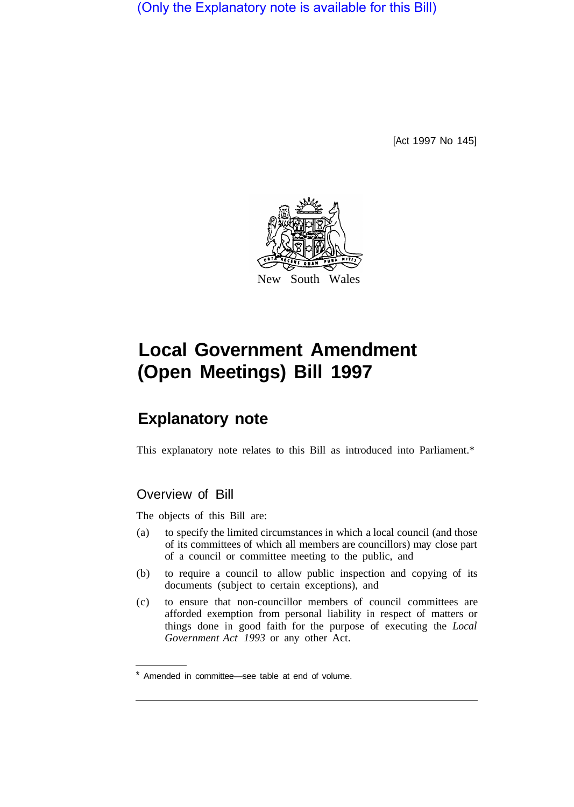(Only the Explanatory note is available for this Bill)

[Act 1997 No 145]



# **Local Government Amendment (Open Meetings) Bill 1997**

# **Explanatory note**

This explanatory note relates to this Bill as introduced into Parliament.\*

## Overview of Bill

The objects of this Bill are:

- (a) to specify the limited circumstances in which a local council (and those of its committees of which all members are councillors) may close part of a council or committee meeting to the public, and
- documents (subject to certain exceptions), and (b) to require a council to allow public inspection and copying of its
- (c) to ensure that non-councillor members of council committees are afforded exemption from personal liability in respect of matters or things done in good faith for the purpose of executing the *Local Government Act 1993* or any other Act.

<sup>\*</sup> Amended in committee—see table at end of volume.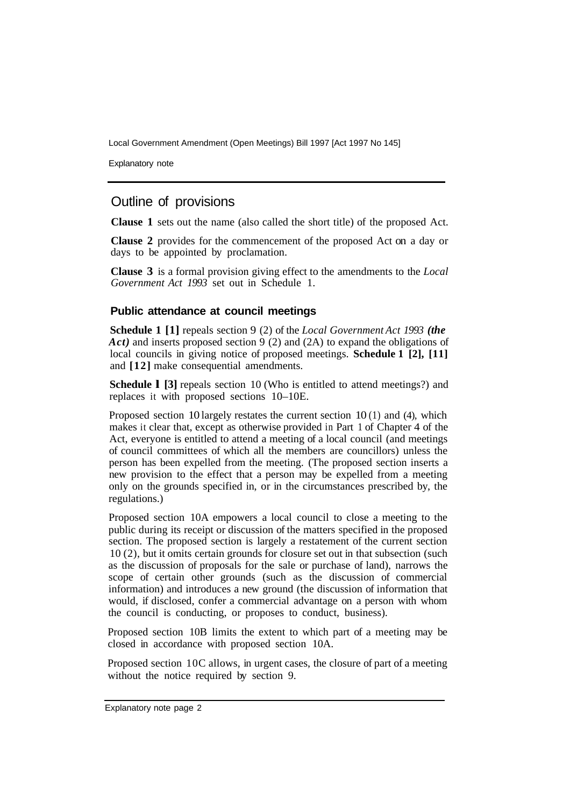Local Government Amendment (Open Meetings) Bill 1997 [Act 1997 No 145]

Explanatory note

## Outline of provisions

**Clause 1** sets out the name (also called the short title) of the proposed Act.

**Clause 2** provides for the commencement of the proposed Act on a day or days to be appointed by proclamation.

**Clause 3** is a formal provision giving effect to the amendments to the *Local Government Act 1993* set out in Schedule 1.

#### **Public attendance at council meetings**

**Schedule 1 [1]** repeals section 9 (2) of the *Local Government Act 1993 (the Act)* and inserts proposed section 9 (2) and (2A) to expand the obligations of local councils in giving notice of proposed meetings. **Schedule 1 [2], [11]**  and **[12]** make consequential amendments.

**Schedule 1 [3]** repeals section 10 (Who is entitled to attend meetings?) and replaces it with proposed sections 10–10E.

Proposed section 10 largely restates the current section  $10(1)$  and  $(4)$ , which makes it clear that, except as otherwise provided in Part 1 of Chapter 4 of the Act, everyone is entitled to attend a meeting of a local council (and meetings of council committees of which all the members are councillors) unless the person has been expelled from the meeting. (The proposed section inserts a new provision to the effect that a person may be expelled from a meeting only on the grounds specified in, or in the circumstances prescribed by, the regulations.)

Proposed section 10A empowers a local council to close a meeting to the public during its receipt or discussion of the matters specified in the proposed section. The proposed section is largely a restatement of the current section 10 (2), but it omits certain grounds for closure set out in that subsection (such as the discussion of proposals for the sale or purchase of land), narrows the scope of certain other grounds (such as the discussion of commercial information) and introduces a new ground (the discussion of information that would, if disclosed, confer a commercial advantage on a person with whom the council is conducting, or proposes to conduct, business).

Proposed section 10B limits the extent to which part of a meeting may be closed in accordance with proposed section 10A.

Proposed section 10C allows, in urgent cases, the closure of part of a meeting without the notice required by section 9.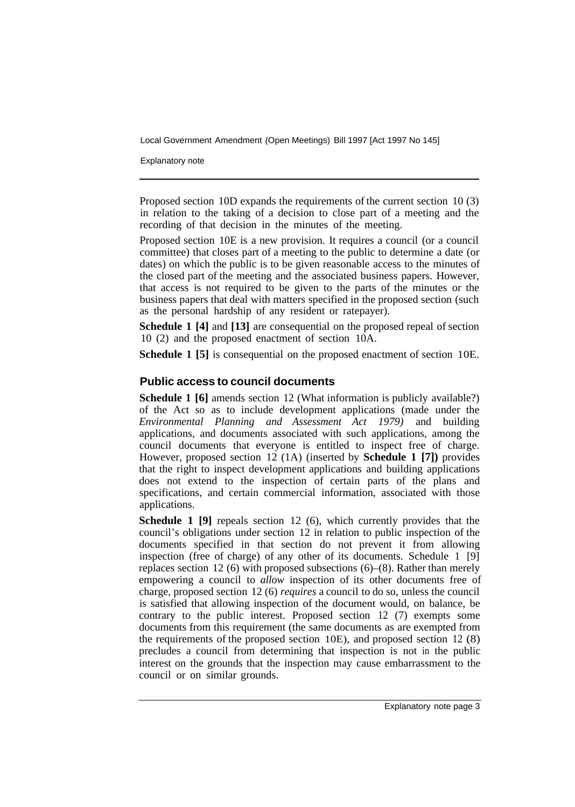Local Government Amendment (Open Meetings) Bill 1997 [Act 1997 No 145]

Explanatory note

Proposed section 10D expands the requirements of the current section 10 (3) in relation to the taking of a decision to close part of a meeting and the recording of that decision in the minutes of the meeting.

Proposed section 10E is a new provision. It requires a council (or a council committee) that closes part of a meeting to the public to determine a date (or dates) on which the public is to be given reasonable access to the minutes of the closed part of the meeting and the associated business papers. However, that access is not required to be given to the parts of the minutes or the business papers that deal with matters specified in the proposed section (such as the personal hardship of any resident or ratepayer).

**Schedule 1 [4]** and **[13]** are consequential on the proposed repeal of section 10 (2) and the proposed enactment of section 10A.

**Schedule 1 [5]** is consequential on the proposed enactment of section 10E.

#### **Public access to council documents**

**Schedule 1 [6]** amends section 12 (What information is publicly available?) of the Act so as to include development applications (made under the *Environmental Planning and Assessment Act 1979)* and building applications, and documents associated with such applications, among the council documents that everyone is entitled to inspect free of charge. However, proposed section 12 (1A) (inserted by **Schedule 1 [7])** provides that the right to inspect development applications and building applications does not extend to the inspection of certain parts of the plans and specifications, and certain commercial information, associated with those applications.

**Schedule 1 [9]** repeals section 12 (6), which currently provides that the council's obligations under section 12 in relation to public inspection of the documents specified in that section do not prevent it from allowing inspection (free of charge) of any other of its documents. Schedule 1 [9] replaces section 12 (6) with proposed subsections (6)–(8). Rather than merely empowering a council to *allow* inspection of its other documents free of charge, proposed section 12 (6) *requires* a council to do so, unless the council is satisfied that allowing inspection of the document would, on balance, be contrary to the public interest. Proposed section 12 (7) exempts some documents from this requirement (the same documents as are exempted from the requirements of the proposed section 10E), and proposed section 12 (8) precludes a council from determining that inspection is not in the public interest on the grounds that the inspection may cause embarrassment to the council or on similar grounds.